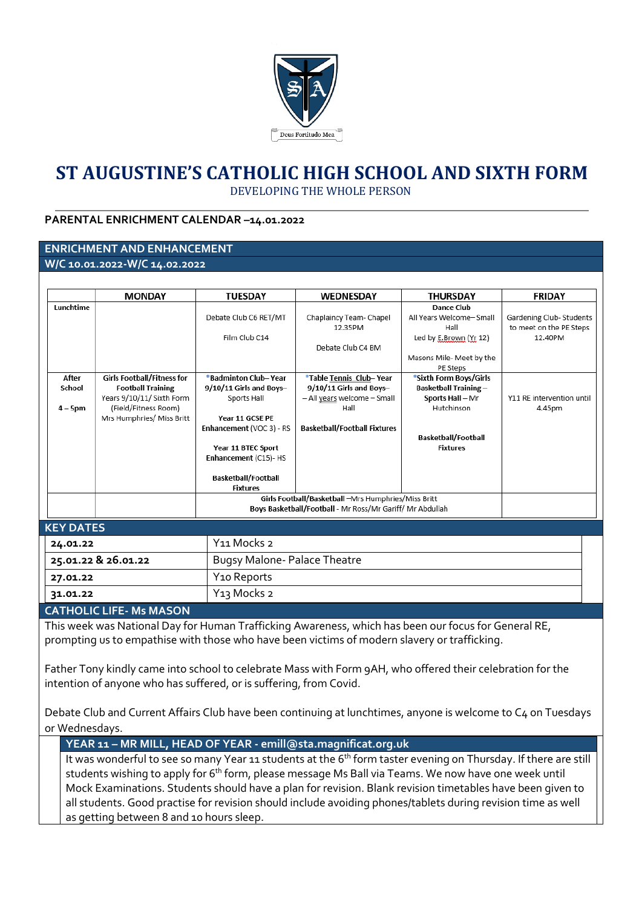

# **ST AUGUSTINE'S CATHOLIC HIGH SCHOOL AND SIXTH FORM** DEVELOPING THE WHOLE PERSON

# **PARENTAL ENRICHMENT CALENDAR –14.01.2022**

#### **ENRICHMENT AND ENHANCEMENT W/C 10.01.2022-W/C 14.02.2022**

|                     | <b>MONDAY</b>                                         | <b>TUESDAY</b>                                   | WEDNESDAY                                                                                                        | <b>THURSDAY</b>                                        | <b>FRIDAY</b>             |  |
|---------------------|-------------------------------------------------------|--------------------------------------------------|------------------------------------------------------------------------------------------------------------------|--------------------------------------------------------|---------------------------|--|
| Lunchtime           |                                                       |                                                  |                                                                                                                  | Dance Club                                             |                           |  |
|                     |                                                       | Debate Club C6 RET/MT                            | Chaplaincy Team- Chapel                                                                                          | All Years Welcome-Small                                | Gardening Club- Students  |  |
|                     |                                                       |                                                  | 12.35PM                                                                                                          | Hall                                                   | to meet on the PE Steps   |  |
|                     |                                                       | Film Club C14                                    |                                                                                                                  | Led by E.Brown (Yr 12)                                 | 12.40PM                   |  |
|                     |                                                       |                                                  | Debate Club C4 BM                                                                                                |                                                        |                           |  |
|                     |                                                       |                                                  |                                                                                                                  | Masons Mile- Meet by the                               |                           |  |
|                     |                                                       |                                                  |                                                                                                                  | PE Steps                                               |                           |  |
| After<br>School     | Girls Football/Fitness for                            | *Badminton Club- Year<br>9/10/11 Girls and Boys- | *Table Tennis Club- Year<br>9/10/11 Girls and Boys-                                                              | *Sixth Form Boys/Girls<br><b>Basketball Training -</b> |                           |  |
|                     | <b>Football Training</b><br>Years 9/10/11/ Sixth Form | Sports Hall                                      | - All years welcome - Small                                                                                      | Sports Hall - Mr                                       | Y11 RE intervention until |  |
| $4 - 5$ pm          | (Field/Fitness Room)                                  |                                                  | Hall                                                                                                             | Hutchinson                                             | 4.45pm                    |  |
|                     | Mrs Humphries/ Miss Britt                             | Year 11 GCSE PE                                  |                                                                                                                  |                                                        |                           |  |
|                     |                                                       | Enhancement (VOC 3) - RS                         | <b>Basketball/Football Fixtures</b>                                                                              |                                                        |                           |  |
|                     |                                                       |                                                  |                                                                                                                  | <b>Basketball/Football</b>                             |                           |  |
|                     |                                                       | Year 11 BTEC Sport                               |                                                                                                                  | <b>Fixtures</b>                                        |                           |  |
|                     |                                                       | Enhancement (C15)- HS                            |                                                                                                                  |                                                        |                           |  |
|                     |                                                       |                                                  |                                                                                                                  |                                                        |                           |  |
|                     |                                                       | <b>Basketball/Football</b><br><b>Fixtures</b>    |                                                                                                                  |                                                        |                           |  |
|                     |                                                       |                                                  |                                                                                                                  |                                                        |                           |  |
|                     |                                                       |                                                  | Girls Football/Basketball -Mrs Humphries/Miss Britt<br>Boys Basketball/Football - Mr Ross/Mr Gariff/ Mr Abdullah |                                                        |                           |  |
|                     |                                                       |                                                  |                                                                                                                  |                                                        |                           |  |
| <b>KEY DATES</b>    |                                                       |                                                  |                                                                                                                  |                                                        |                           |  |
| 24.01.22            |                                                       | Y <sub>11</sub> Mocks <sub>2</sub>               |                                                                                                                  |                                                        |                           |  |
| 25.01.22 & 26.01.22 |                                                       | <b>Bugsy Malone-Palace Theatre</b>               |                                                                                                                  |                                                        |                           |  |
| 27.01.22            |                                                       | Y <sub>10</sub> Reports                          |                                                                                                                  |                                                        |                           |  |
| 31.01.22            |                                                       | Y <sub>13</sub> Mocks <sub>2</sub>               |                                                                                                                  |                                                        |                           |  |

### **CATHOLIC LIFE- Ms MASON**

This week was National Day for Human Trafficking Awareness, which has been our focus for General RE, prompting us to empathise with those who have been victims of modern slavery or trafficking.

Father Tony kindly came into school to celebrate Mass with Form 9AH, who offered their celebration for the intention of anyone who has suffered, or is suffering, from Covid.

Debate Club and Current Affairs Club have been continuing at lunchtimes, anyone is welcome to C4 on Tuesdays or Wednesdays.

**YEAR 11 – MR MILL, HEAD OF YEAR - emill@sta.magnificat.org.uk**

It was wonderful to see so many Year 11 students at the 6<sup>th</sup> form taster evening on Thursday. If there are still students wishing to apply for 6<sup>th</sup> form, please message Ms Ball via Teams. We now have one week until Mock Examinations. Students should have a plan for revision. Blank revision timetables have been given to all students. Good practise for revision should include avoiding phones/tablets during revision time as well as getting between 8 and 10 hours sleep.